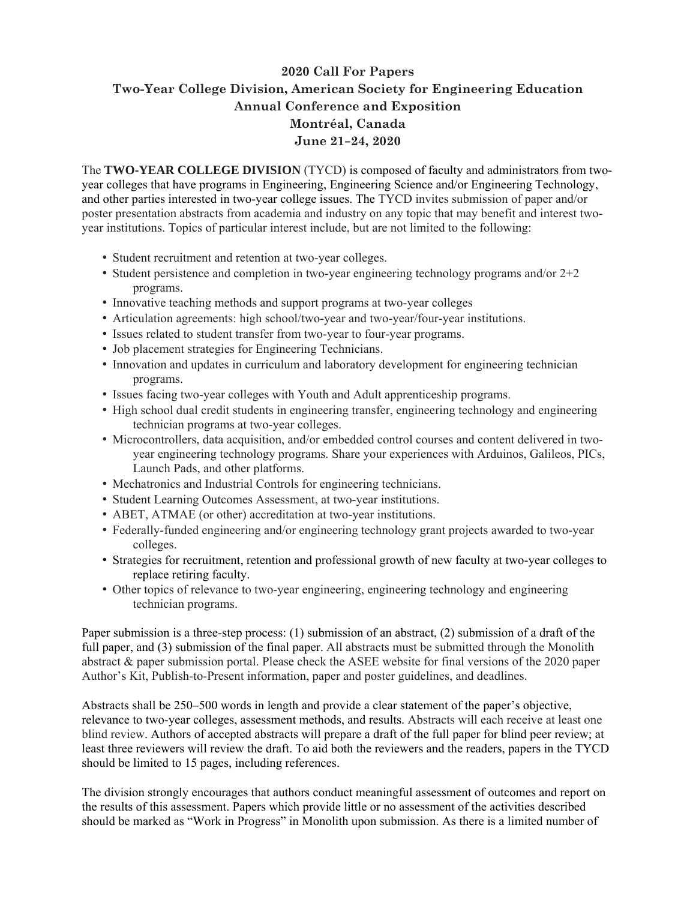## **2020 Call For Papers Two-Year College Division, American Society for Engineering Education Annual Conference and Exposition Montréal, Canada June 21–24, 2020**

The **TWO-YEAR COLLEGE DIVISION** (TYCD) is composed of faculty and administrators from twoyear colleges that have programs in Engineering, Engineering Science and/or Engineering Technology, and other parties interested in two-year college issues. The TYCD invites submission of paper and/or poster presentation abstracts from academia and industry on any topic that may benefit and interest twoyear institutions. Topics of particular interest include, but are not limited to the following:

- Student recruitment and retention at two-year colleges.
- Student persistence and completion in two-year engineering technology programs and/or 2+2 programs.
- Innovative teaching methods and support programs at two-year colleges
- Articulation agreements: high school/two-year and two-year/four-year institutions.
- Issues related to student transfer from two-year to four-year programs.
- Job placement strategies for Engineering Technicians.
- Innovation and updates in curriculum and laboratory development for engineering technician programs.
- Issues facing two-year colleges with Youth and Adult apprenticeship programs.
- High school dual credit students in engineering transfer, engineering technology and engineering technician programs at two-year colleges.
- Microcontrollers, data acquisition, and/or embedded control courses and content delivered in twoyear engineering technology programs. Share your experiences with Arduinos, Galileos, PICs, Launch Pads, and other platforms.
- Mechatronics and Industrial Controls for engineering technicians.
- Student Learning Outcomes Assessment, at two-year institutions.
- ABET, ATMAE (or other) accreditation at two-year institutions.
- Federally-funded engineering and/or engineering technology grant projects awarded to two-year colleges.
- Strategies for recruitment, retention and professional growth of new faculty at two-year colleges to replace retiring faculty.
- Other topics of relevance to two-year engineering, engineering technology and engineering technician programs.

Paper submission is a three-step process: (1) submission of an abstract, (2) submission of a draft of the full paper, and (3) submission of the final paper. All abstracts must be submitted through the Monolith abstract & paper submission portal. Please check the ASEE website for final versions of the 2020 paper Author's Kit, Publish-to-Present information, paper and poster guidelines, and deadlines.

Abstracts shall be 250–500 words in length and provide a clear statement of the paper's objective, relevance to two-year colleges, assessment methods, and results. Abstracts will each receive at least one blind review. Authors of accepted abstracts will prepare a draft of the full paper for blind peer review; at least three reviewers will review the draft. To aid both the reviewers and the readers, papers in the TYCD should be limited to 15 pages, including references.

The division strongly encourages that authors conduct meaningful assessment of outcomes and report on the results of this assessment. Papers which provide little or no assessment of the activities described should be marked as "Work in Progress" in Monolith upon submission. As there is a limited number of